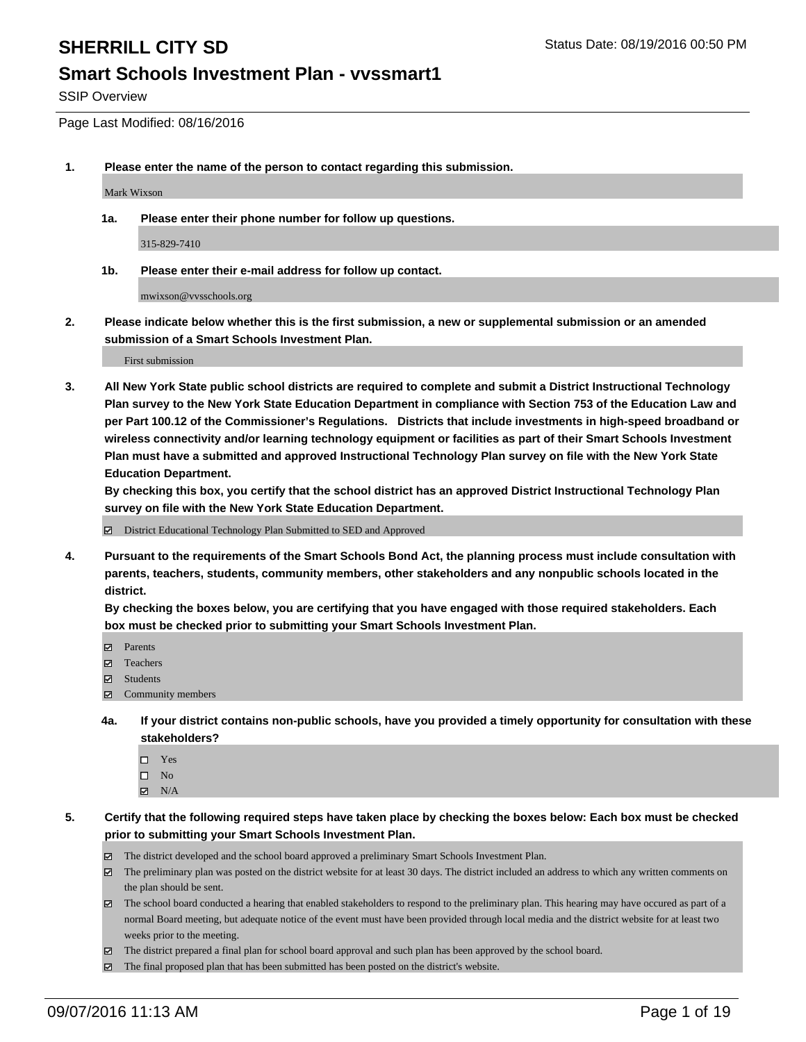SSIP Overview

Page Last Modified: 08/16/2016

**1. Please enter the name of the person to contact regarding this submission.**

Mark Wixson

**1a. Please enter their phone number for follow up questions.**

315-829-7410

**1b. Please enter their e-mail address for follow up contact.**

mwixson@vvsschools.org

**2. Please indicate below whether this is the first submission, a new or supplemental submission or an amended submission of a Smart Schools Investment Plan.**

First submission

**3. All New York State public school districts are required to complete and submit a District Instructional Technology Plan survey to the New York State Education Department in compliance with Section 753 of the Education Law and per Part 100.12 of the Commissioner's Regulations. Districts that include investments in high-speed broadband or wireless connectivity and/or learning technology equipment or facilities as part of their Smart Schools Investment Plan must have a submitted and approved Instructional Technology Plan survey on file with the New York State Education Department.** 

**By checking this box, you certify that the school district has an approved District Instructional Technology Plan survey on file with the New York State Education Department.**

District Educational Technology Plan Submitted to SED and Approved

**4. Pursuant to the requirements of the Smart Schools Bond Act, the planning process must include consultation with parents, teachers, students, community members, other stakeholders and any nonpublic schools located in the district.** 

**By checking the boxes below, you are certifying that you have engaged with those required stakeholders. Each box must be checked prior to submitting your Smart Schools Investment Plan.**

- Parents
- Teachers
- **☑** Students
- Community members
- **4a. If your district contains non-public schools, have you provided a timely opportunity for consultation with these stakeholders?**
	- $\Box$  Yes  $\square$  No
	- $\boxtimes$  N/A
- **5. Certify that the following required steps have taken place by checking the boxes below: Each box must be checked prior to submitting your Smart Schools Investment Plan.**
	- The district developed and the school board approved a preliminary Smart Schools Investment Plan.
	- The preliminary plan was posted on the district website for at least 30 days. The district included an address to which any written comments on the plan should be sent.
	- $\boxtimes$  The school board conducted a hearing that enabled stakeholders to respond to the preliminary plan. This hearing may have occured as part of a normal Board meeting, but adequate notice of the event must have been provided through local media and the district website for at least two weeks prior to the meeting.
	- The district prepared a final plan for school board approval and such plan has been approved by the school board.
	- The final proposed plan that has been submitted has been posted on the district's website.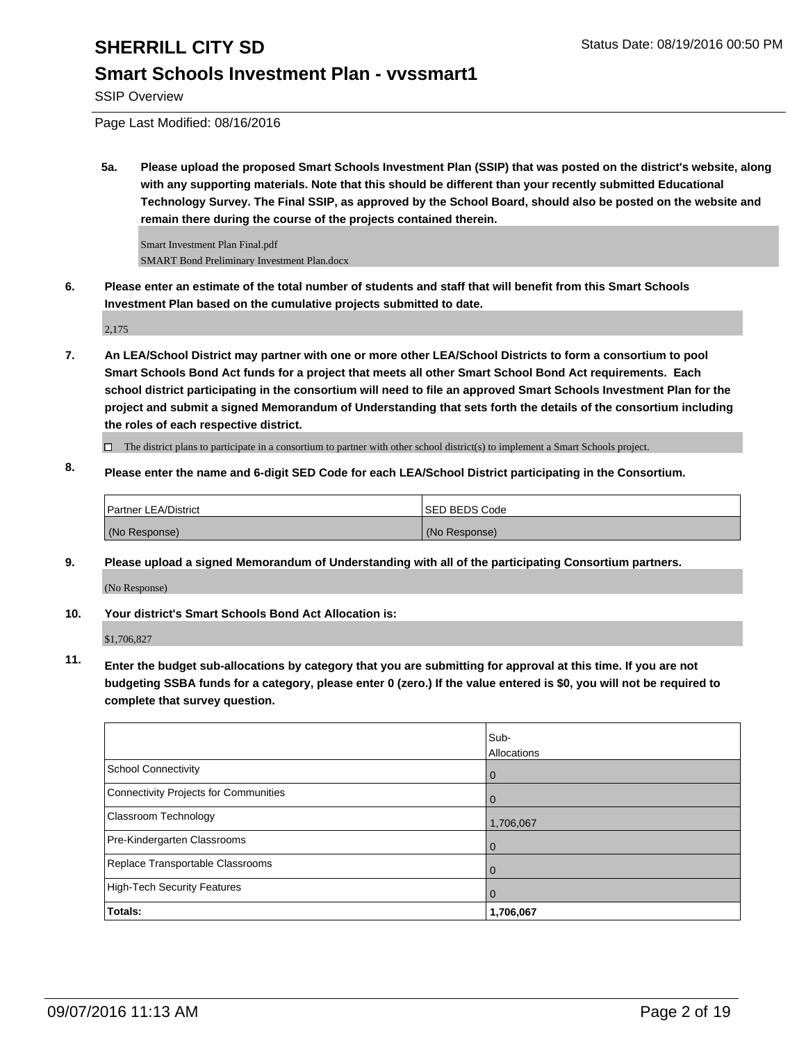## **Smart Schools Investment Plan - vvssmart1**

SSIP Overview

Page Last Modified: 08/16/2016

**5a. Please upload the proposed Smart Schools Investment Plan (SSIP) that was posted on the district's website, along with any supporting materials. Note that this should be different than your recently submitted Educational Technology Survey. The Final SSIP, as approved by the School Board, should also be posted on the website and remain there during the course of the projects contained therein.**

Smart Investment Plan Final.pdf SMART Bond Preliminary Investment Plan.docx

**6. Please enter an estimate of the total number of students and staff that will benefit from this Smart Schools Investment Plan based on the cumulative projects submitted to date.**

2,175

**7. An LEA/School District may partner with one or more other LEA/School Districts to form a consortium to pool Smart Schools Bond Act funds for a project that meets all other Smart School Bond Act requirements. Each school district participating in the consortium will need to file an approved Smart Schools Investment Plan for the project and submit a signed Memorandum of Understanding that sets forth the details of the consortium including the roles of each respective district.**

 $\Box$  The district plans to participate in a consortium to partner with other school district(s) to implement a Smart Schools project.

**8. Please enter the name and 6-digit SED Code for each LEA/School District participating in the Consortium.**

| <b>Partner LEA/District</b> | <b>ISED BEDS Code</b> |
|-----------------------------|-----------------------|
| (No Response)               | (No Response)         |

**9. Please upload a signed Memorandum of Understanding with all of the participating Consortium partners.** (No Response)

**10. Your district's Smart Schools Bond Act Allocation is:**

\$1,706,827

**11. Enter the budget sub-allocations by category that you are submitting for approval at this time. If you are not budgeting SSBA funds for a category, please enter 0 (zero.) If the value entered is \$0, you will not be required to complete that survey question.**

|                                       | Sub-<br>Allocations |
|---------------------------------------|---------------------|
| School Connectivity                   | $\bf{0}$            |
| Connectivity Projects for Communities |                     |
| <b>Classroom Technology</b>           | 1,706,067           |
| Pre-Kindergarten Classrooms           |                     |
| Replace Transportable Classrooms      |                     |
| High-Tech Security Features           | O                   |
| Totals:                               | 1,706,067           |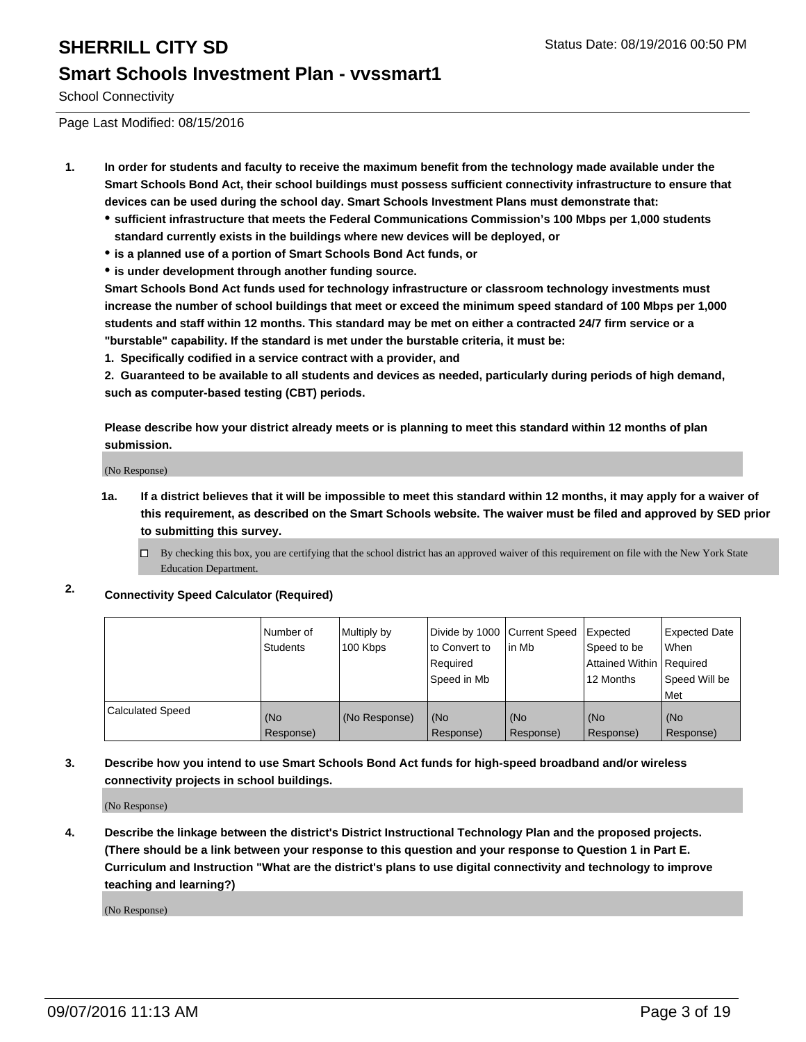School Connectivity

Page Last Modified: 08/15/2016

- **1. In order for students and faculty to receive the maximum benefit from the technology made available under the Smart Schools Bond Act, their school buildings must possess sufficient connectivity infrastructure to ensure that devices can be used during the school day. Smart Schools Investment Plans must demonstrate that:**
	- **sufficient infrastructure that meets the Federal Communications Commission's 100 Mbps per 1,000 students standard currently exists in the buildings where new devices will be deployed, or**
	- **is a planned use of a portion of Smart Schools Bond Act funds, or**
	- **is under development through another funding source.**

**Smart Schools Bond Act funds used for technology infrastructure or classroom technology investments must increase the number of school buildings that meet or exceed the minimum speed standard of 100 Mbps per 1,000 students and staff within 12 months. This standard may be met on either a contracted 24/7 firm service or a "burstable" capability. If the standard is met under the burstable criteria, it must be:**

**1. Specifically codified in a service contract with a provider, and**

**2. Guaranteed to be available to all students and devices as needed, particularly during periods of high demand, such as computer-based testing (CBT) periods.**

**Please describe how your district already meets or is planning to meet this standard within 12 months of plan submission.**

(No Response)

- **1a. If a district believes that it will be impossible to meet this standard within 12 months, it may apply for a waiver of this requirement, as described on the Smart Schools website. The waiver must be filed and approved by SED prior to submitting this survey.**
	- $\Box$  By checking this box, you are certifying that the school district has an approved waiver of this requirement on file with the New York State Education Department.
- **2. Connectivity Speed Calculator (Required)**

|                         | Number of<br><b>Students</b> | Multiply by<br>100 Kbps | Divide by 1000 Current Speed<br>to Convert to<br>Required<br>Speed in Mb | lin Mb           | Expected<br>Speed to be<br>Attained Within Required<br>12 Months | Expected Date<br>l When<br>Speed Will be<br>l Met |
|-------------------------|------------------------------|-------------------------|--------------------------------------------------------------------------|------------------|------------------------------------------------------------------|---------------------------------------------------|
| <b>Calculated Speed</b> | (No<br>Response)             | (No Response)           | (No<br>Response)                                                         | (No<br>Response) | (No<br>Response)                                                 | (No<br>Response)                                  |

### **3. Describe how you intend to use Smart Schools Bond Act funds for high-speed broadband and/or wireless connectivity projects in school buildings.**

(No Response)

**4. Describe the linkage between the district's District Instructional Technology Plan and the proposed projects. (There should be a link between your response to this question and your response to Question 1 in Part E. Curriculum and Instruction "What are the district's plans to use digital connectivity and technology to improve teaching and learning?)**

(No Response)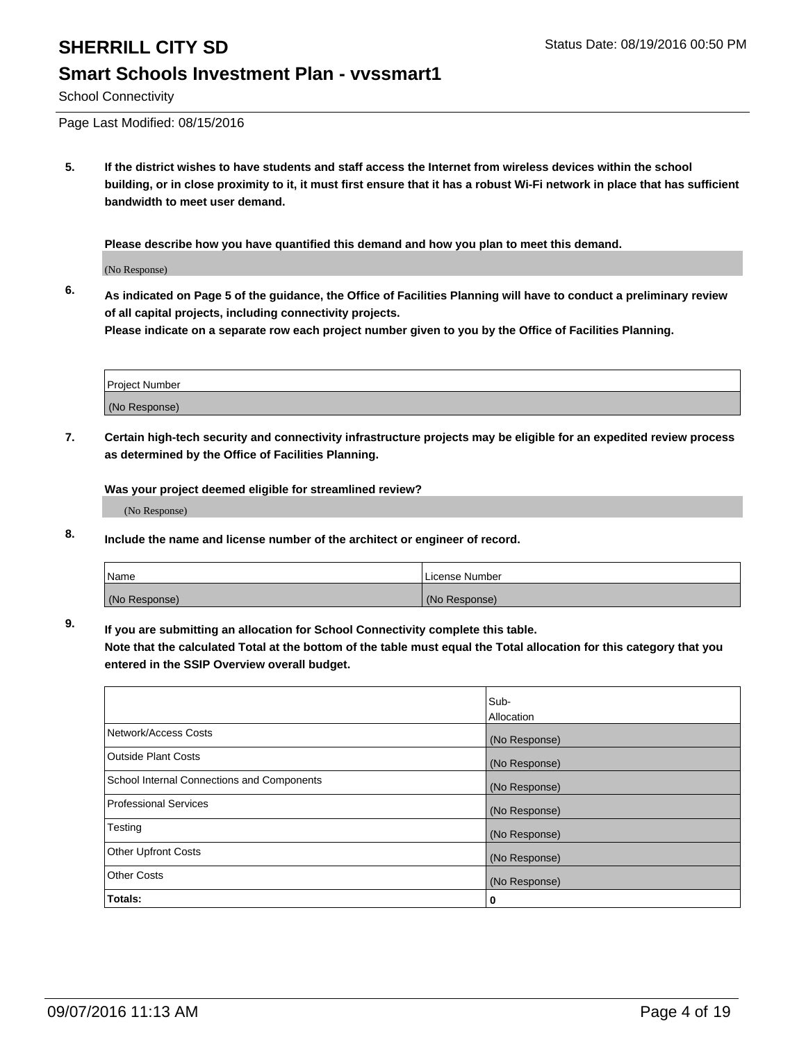### School Connectivity

Page Last Modified: 08/15/2016

**5. If the district wishes to have students and staff access the Internet from wireless devices within the school building, or in close proximity to it, it must first ensure that it has a robust Wi-Fi network in place that has sufficient bandwidth to meet user demand.**

**Please describe how you have quantified this demand and how you plan to meet this demand.**

(No Response)

**6. As indicated on Page 5 of the guidance, the Office of Facilities Planning will have to conduct a preliminary review of all capital projects, including connectivity projects.**

**Please indicate on a separate row each project number given to you by the Office of Facilities Planning.**

| Project Number |  |
|----------------|--|
| (No Response)  |  |

**7. Certain high-tech security and connectivity infrastructure projects may be eligible for an expedited review process as determined by the Office of Facilities Planning.**

**Was your project deemed eligible for streamlined review?**

(No Response)

**8. Include the name and license number of the architect or engineer of record.**

| Name          | License Number |
|---------------|----------------|
| (No Response) | (No Response)  |

**9. If you are submitting an allocation for School Connectivity complete this table.**

**Note that the calculated Total at the bottom of the table must equal the Total allocation for this category that you entered in the SSIP Overview overall budget.** 

|                                            | Sub-              |
|--------------------------------------------|-------------------|
|                                            | <b>Allocation</b> |
| Network/Access Costs                       | (No Response)     |
| <b>Outside Plant Costs</b>                 | (No Response)     |
| School Internal Connections and Components | (No Response)     |
| <b>Professional Services</b>               | (No Response)     |
| Testing                                    | (No Response)     |
| <b>Other Upfront Costs</b>                 | (No Response)     |
| <b>Other Costs</b>                         | (No Response)     |
| Totals:                                    | 0                 |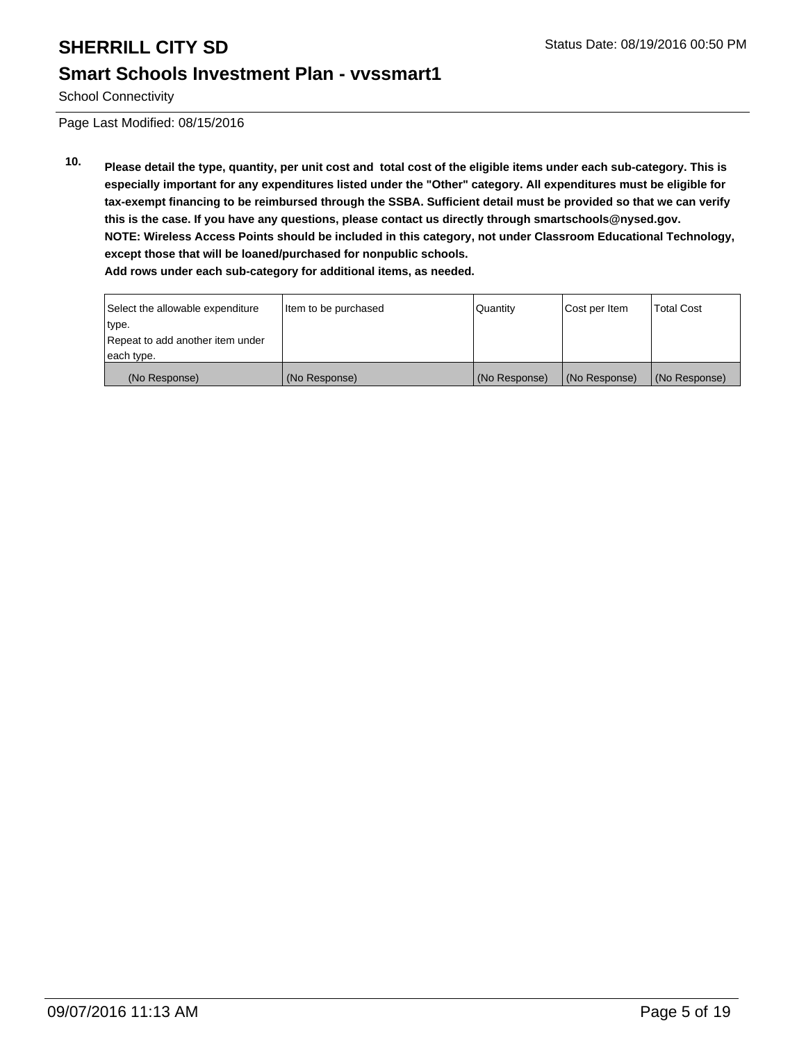School Connectivity

Page Last Modified: 08/15/2016

**10. Please detail the type, quantity, per unit cost and total cost of the eligible items under each sub-category. This is especially important for any expenditures listed under the "Other" category. All expenditures must be eligible for tax-exempt financing to be reimbursed through the SSBA. Sufficient detail must be provided so that we can verify this is the case. If you have any questions, please contact us directly through smartschools@nysed.gov. NOTE: Wireless Access Points should be included in this category, not under Classroom Educational Technology, except those that will be loaned/purchased for nonpublic schools. Add rows under each sub-category for additional items, as needed.**

| Select the allowable expenditure | Item to be purchased | Quantity      | Cost per Item | <b>Total Cost</b> |
|----------------------------------|----------------------|---------------|---------------|-------------------|
| type.                            |                      |               |               |                   |
| Repeat to add another item under |                      |               |               |                   |
| each type.                       |                      |               |               |                   |
| (No Response)                    | (No Response)        | (No Response) | (No Response) | (No Response)     |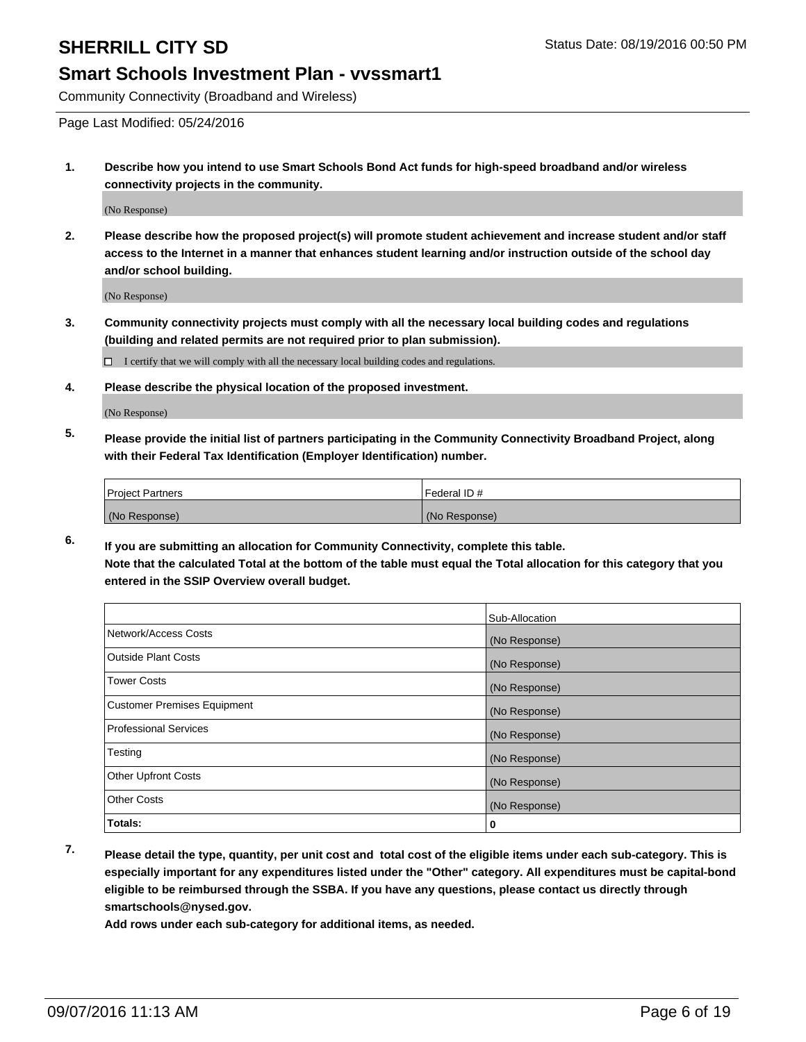Community Connectivity (Broadband and Wireless)

Page Last Modified: 05/24/2016

**1. Describe how you intend to use Smart Schools Bond Act funds for high-speed broadband and/or wireless connectivity projects in the community.**

(No Response)

**2. Please describe how the proposed project(s) will promote student achievement and increase student and/or staff access to the Internet in a manner that enhances student learning and/or instruction outside of the school day and/or school building.**

(No Response)

**3. Community connectivity projects must comply with all the necessary local building codes and regulations (building and related permits are not required prior to plan submission).**

 $\Box$  I certify that we will comply with all the necessary local building codes and regulations.

**4. Please describe the physical location of the proposed investment.**

(No Response)

**5. Please provide the initial list of partners participating in the Community Connectivity Broadband Project, along with their Federal Tax Identification (Employer Identification) number.**

| <b>Project Partners</b> | Federal ID#   |
|-------------------------|---------------|
| (No Response)           | (No Response) |

**6. If you are submitting an allocation for Community Connectivity, complete this table. Note that the calculated Total at the bottom of the table must equal the Total allocation for this category that you entered in the SSIP Overview overall budget.**

|                                    | Sub-Allocation |
|------------------------------------|----------------|
| Network/Access Costs               | (No Response)  |
| <b>Outside Plant Costs</b>         | (No Response)  |
| Tower Costs                        | (No Response)  |
| <b>Customer Premises Equipment</b> | (No Response)  |
| <b>Professional Services</b>       | (No Response)  |
| Testing                            | (No Response)  |
| <b>Other Upfront Costs</b>         | (No Response)  |
| <b>Other Costs</b>                 | (No Response)  |
| Totals:                            | 0              |

**7. Please detail the type, quantity, per unit cost and total cost of the eligible items under each sub-category. This is especially important for any expenditures listed under the "Other" category. All expenditures must be capital-bond eligible to be reimbursed through the SSBA. If you have any questions, please contact us directly through smartschools@nysed.gov.**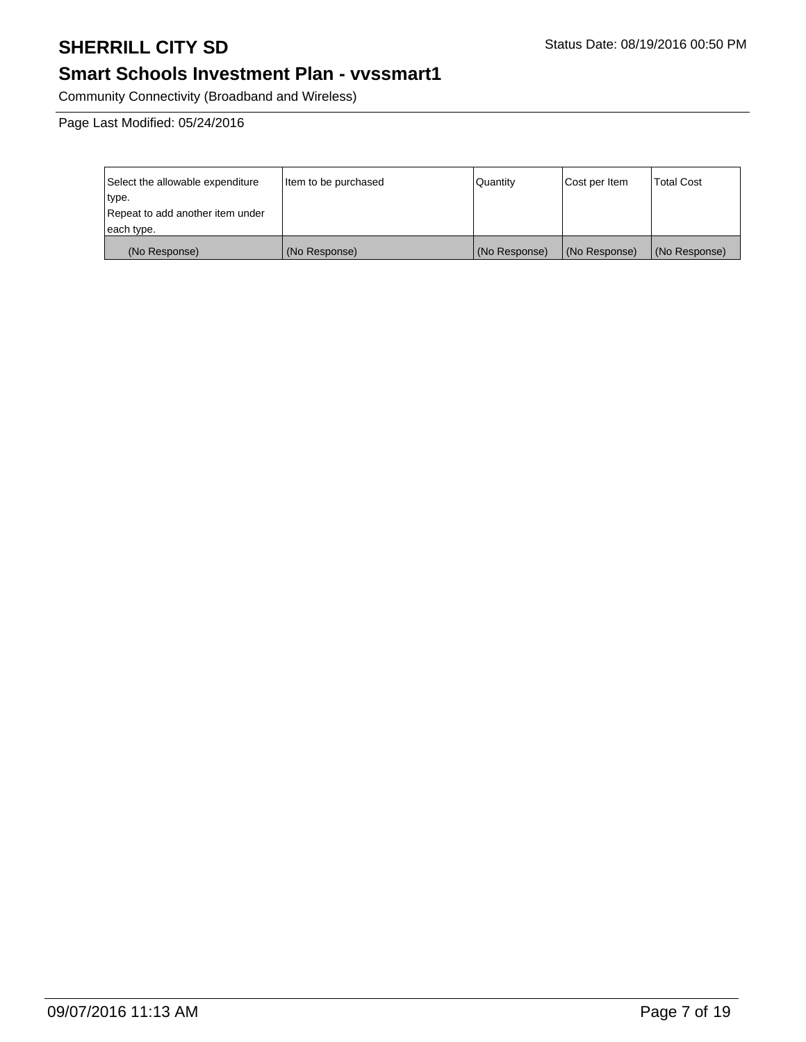# **Smart Schools Investment Plan - vvssmart1**

Community Connectivity (Broadband and Wireless)

Page Last Modified: 05/24/2016

| Select the allowable expenditure | Item to be purchased | l Quantitv    | Cost per Item | <b>Total Cost</b> |
|----------------------------------|----------------------|---------------|---------------|-------------------|
| type.                            |                      |               |               |                   |
| Repeat to add another item under |                      |               |               |                   |
| each type.                       |                      |               |               |                   |
| (No Response)                    | (No Response)        | (No Response) | (No Response) | (No Response)     |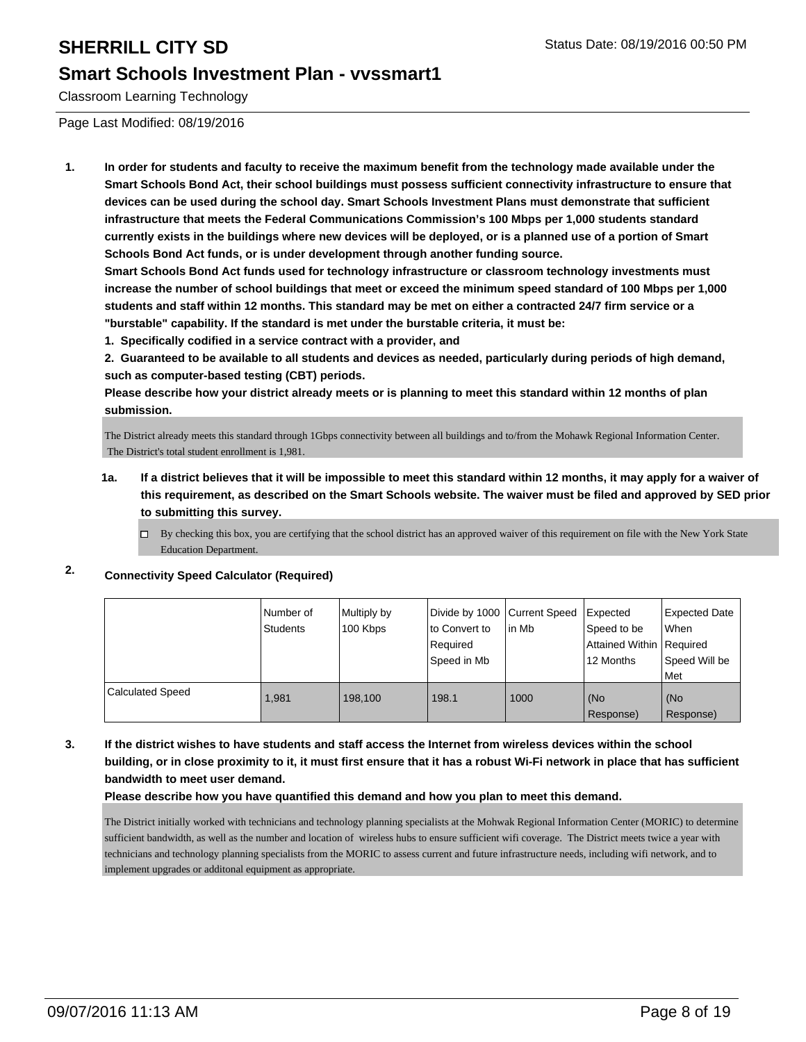## **Smart Schools Investment Plan - vvssmart1**

Classroom Learning Technology

Page Last Modified: 08/19/2016

**1. In order for students and faculty to receive the maximum benefit from the technology made available under the Smart Schools Bond Act, their school buildings must possess sufficient connectivity infrastructure to ensure that devices can be used during the school day. Smart Schools Investment Plans must demonstrate that sufficient infrastructure that meets the Federal Communications Commission's 100 Mbps per 1,000 students standard currently exists in the buildings where new devices will be deployed, or is a planned use of a portion of Smart Schools Bond Act funds, or is under development through another funding source.**

**Smart Schools Bond Act funds used for technology infrastructure or classroom technology investments must increase the number of school buildings that meet or exceed the minimum speed standard of 100 Mbps per 1,000 students and staff within 12 months. This standard may be met on either a contracted 24/7 firm service or a "burstable" capability. If the standard is met under the burstable criteria, it must be:**

**1. Specifically codified in a service contract with a provider, and**

**2. Guaranteed to be available to all students and devices as needed, particularly during periods of high demand, such as computer-based testing (CBT) periods.**

**Please describe how your district already meets or is planning to meet this standard within 12 months of plan submission.**

The District already meets this standard through 1Gbps connectivity between all buildings and to/from the Mohawk Regional Information Center. The District's total student enrollment is 1,981.

- **1a. If a district believes that it will be impossible to meet this standard within 12 months, it may apply for a waiver of this requirement, as described on the Smart Schools website. The waiver must be filed and approved by SED prior to submitting this survey.**
	- $\Box$  By checking this box, you are certifying that the school district has an approved waiver of this requirement on file with the New York State Education Department.

## **2. Connectivity Speed Calculator (Required)**

|                         | l Number of<br>Students | Multiply by<br>100 Kbps | Divide by 1000 Current Speed<br>Ito Convert to<br>Required<br> Speed in Mb | lin Mb | Expected<br>Speed to be<br>Attained Within   Required<br>12 Months | <b>Expected Date</b><br><b>When</b><br>l Speed Will be<br><b>Met</b> |
|-------------------------|-------------------------|-------------------------|----------------------------------------------------------------------------|--------|--------------------------------------------------------------------|----------------------------------------------------------------------|
| <b>Calculated Speed</b> | 1.981                   | 198.100                 | 198.1                                                                      | 1000   | (No<br>Response)                                                   | l (No<br>Response)                                                   |

**3. If the district wishes to have students and staff access the Internet from wireless devices within the school building, or in close proximity to it, it must first ensure that it has a robust Wi-Fi network in place that has sufficient bandwidth to meet user demand.**

### **Please describe how you have quantified this demand and how you plan to meet this demand.**

The District initially worked with technicians and technology planning specialists at the Mohwak Regional Information Center (MORIC) to determine sufficient bandwidth, as well as the number and location of wireless hubs to ensure sufficient wifi coverage. The District meets twice a year with technicians and technology planning specialists from the MORIC to assess current and future infrastructure needs, including wifi network, and to implement upgrades or additonal equipment as appropriate.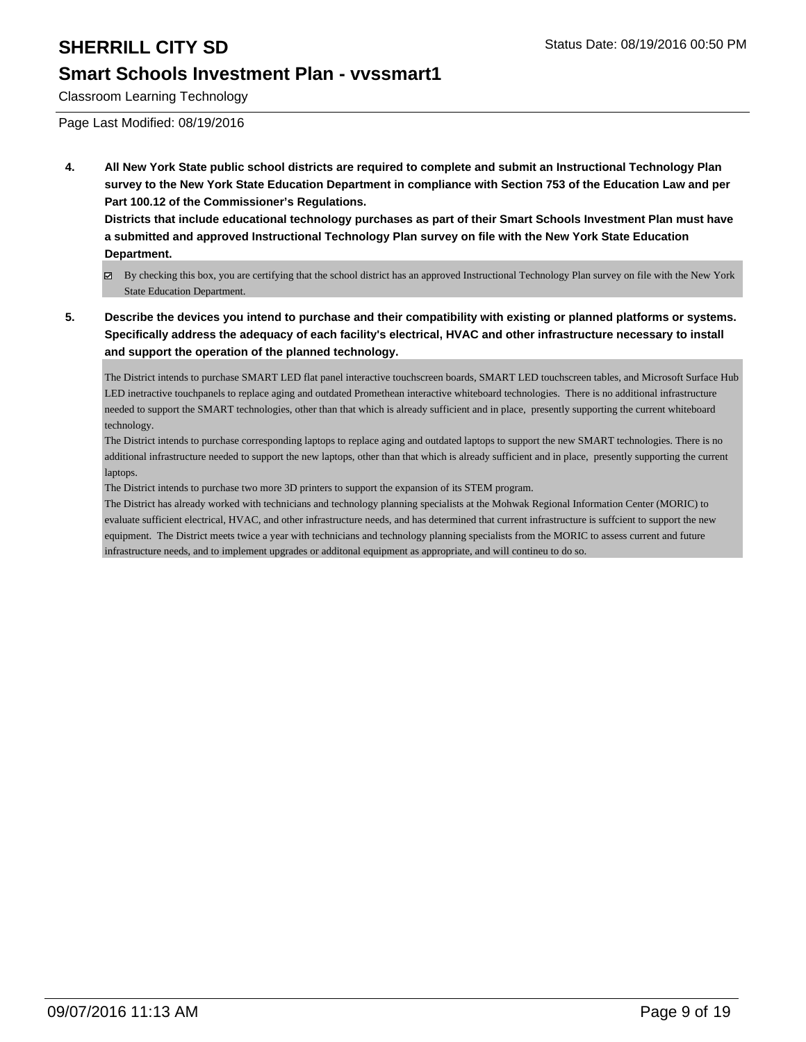## **Smart Schools Investment Plan - vvssmart1**

Classroom Learning Technology

Page Last Modified: 08/19/2016

**4. All New York State public school districts are required to complete and submit an Instructional Technology Plan survey to the New York State Education Department in compliance with Section 753 of the Education Law and per Part 100.12 of the Commissioner's Regulations.**

**Districts that include educational technology purchases as part of their Smart Schools Investment Plan must have a submitted and approved Instructional Technology Plan survey on file with the New York State Education Department.**

- By checking this box, you are certifying that the school district has an approved Instructional Technology Plan survey on file with the New York State Education Department.
- **5. Describe the devices you intend to purchase and their compatibility with existing or planned platforms or systems. Specifically address the adequacy of each facility's electrical, HVAC and other infrastructure necessary to install and support the operation of the planned technology.**

The District intends to purchase SMART LED flat panel interactive touchscreen boards, SMART LED touchscreen tables, and Microsoft Surface Hub LED inetractive touchpanels to replace aging and outdated Promethean interactive whiteboard technologies. There is no additional infrastructure needed to support the SMART technologies, other than that which is already sufficient and in place, presently supporting the current whiteboard technology.

The District intends to purchase corresponding laptops to replace aging and outdated laptops to support the new SMART technologies. There is no additional infrastructure needed to support the new laptops, other than that which is already sufficient and in place, presently supporting the current laptops.

The District intends to purchase two more 3D printers to support the expansion of its STEM program.

The District has already worked with technicians and technology planning specialists at the Mohwak Regional Information Center (MORIC) to evaluate sufficient electrical, HVAC, and other infrastructure needs, and has determined that current infrastructure is suffcient to support the new equipment. The District meets twice a year with technicians and technology planning specialists from the MORIC to assess current and future infrastructure needs, and to implement upgrades or additonal equipment as appropriate, and will contineu to do so.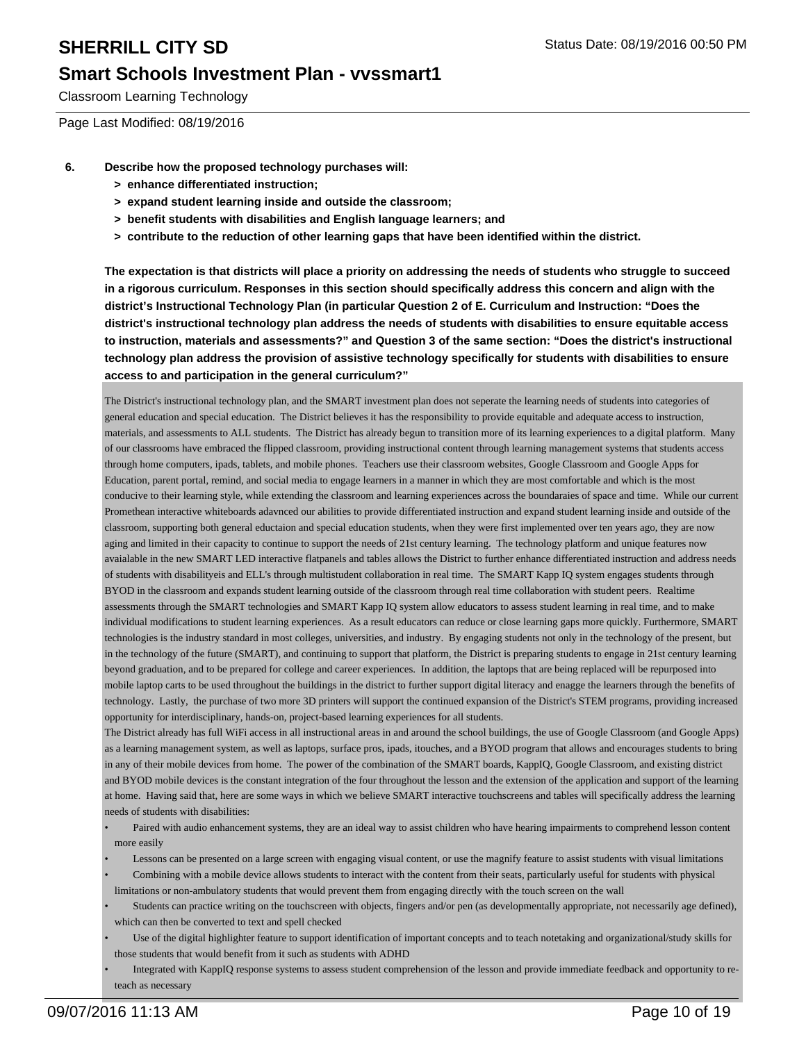Classroom Learning Technology

Page Last Modified: 08/19/2016

- **6. Describe how the proposed technology purchases will:**
	- **> enhance differentiated instruction;**
	- **> expand student learning inside and outside the classroom;**
	- **> benefit students with disabilities and English language learners; and**
	- **> contribute to the reduction of other learning gaps that have been identified within the district.**

**The expectation is that districts will place a priority on addressing the needs of students who struggle to succeed in a rigorous curriculum. Responses in this section should specifically address this concern and align with the district's Instructional Technology Plan (in particular Question 2 of E. Curriculum and Instruction: "Does the district's instructional technology plan address the needs of students with disabilities to ensure equitable access to instruction, materials and assessments?" and Question 3 of the same section: "Does the district's instructional technology plan address the provision of assistive technology specifically for students with disabilities to ensure access to and participation in the general curriculum?"**

The District's instructional technology plan, and the SMART investment plan does not seperate the learning needs of students into categories of general education and special education. The District believes it has the responsibility to provide equitable and adequate access to instruction, materials, and assessments to ALL students. The District has already begun to transition more of its learning experiences to a digital platform. Many of our classrooms have embraced the flipped classroom, providing instructional content through learning management systems that students access through home computers, ipads, tablets, and mobile phones. Teachers use their classroom websites, Google Classroom and Google Apps for Education, parent portal, remind, and social media to engage learners in a manner in which they are most comfortable and which is the most conducive to their learning style, while extending the classroom and learning experiences across the boundaraies of space and time. While our current Promethean interactive whiteboards adavnced our abilities to provide differentiated instruction and expand student learning inside and outside of the classroom, supporting both general eductaion and special education students, when they were first implemented over ten years ago, they are now aging and limited in their capacity to continue to support the needs of 21st century learning. The technology platform and unique features now avaialable in the new SMART LED interactive flatpanels and tables allows the District to further enhance differentiated instruction and address needs of students with disabilityeis and ELL's through multistudent collaboration in real time. The SMART Kapp IQ system engages students through BYOD in the classroom and expands student learning outside of the classroom through real time collaboration with student peers. Realtime assessments through the SMART technologies and SMART Kapp IQ system allow educators to assess student learning in real time, and to make individual modifications to student learning experiences. As a result educators can reduce or close learning gaps more quickly. Furthermore, SMART technologies is the industry standard in most colleges, universities, and industry. By engaging students not only in the technology of the present, but in the technology of the future (SMART), and continuing to support that platform, the District is preparing students to engage in 21st century learning beyond graduation, and to be prepared for college and career experiences. In addition, the laptops that are being replaced will be repurposed into mobile laptop carts to be used throughout the buildings in the district to further support digital literacy and enagge the learners through the benefits of technology. Lastly, the purchase of two more 3D printers will support the continued expansion of the District's STEM programs, providing increased opportunity for interdisciplinary, hands-on, project-based learning experiences for all students.

The District already has full WiFi access in all instructional areas in and around the school buildings, the use of Google Classroom (and Google Apps) as a learning management system, as well as laptops, surface pros, ipads, itouches, and a BYOD program that allows and encourages students to bring in any of their mobile devices from home. The power of the combination of the SMART boards, KappIQ, Google Classroom, and existing district and BYOD mobile devices is the constant integration of the four throughout the lesson and the extension of the application and support of the learning at home. Having said that, here are some ways in which we believe SMART interactive touchscreens and tables will specifically address the learning needs of students with disabilities:

- Paired with audio enhancement systems, they are an ideal way to assist children who have hearing impairments to comprehend lesson content more easily •
- Lessons can be presented on a large screen with engaging visual content, or use the magnify feature to assist students with visual limitations
- Combining with a mobile device allows students to interact with the content from their seats, particularly useful for students with physical limitations or non-ambulatory students that would prevent them from engaging directly with the touch screen on the wall •
- Students can practice writing on the touchscreen with objects, fingers and/or pen (as developmentally appropriate, not necessarily age defined), which can then be converted to text and spell checked •
- Use of the digital highlighter feature to support identification of important concepts and to teach notetaking and organizational/study skills for those students that would benefit from it such as students with ADHD •
- Integrated with KappIQ response systems to assess student comprehension of the lesson and provide immediate feedback and opportunity to reteach as necessary •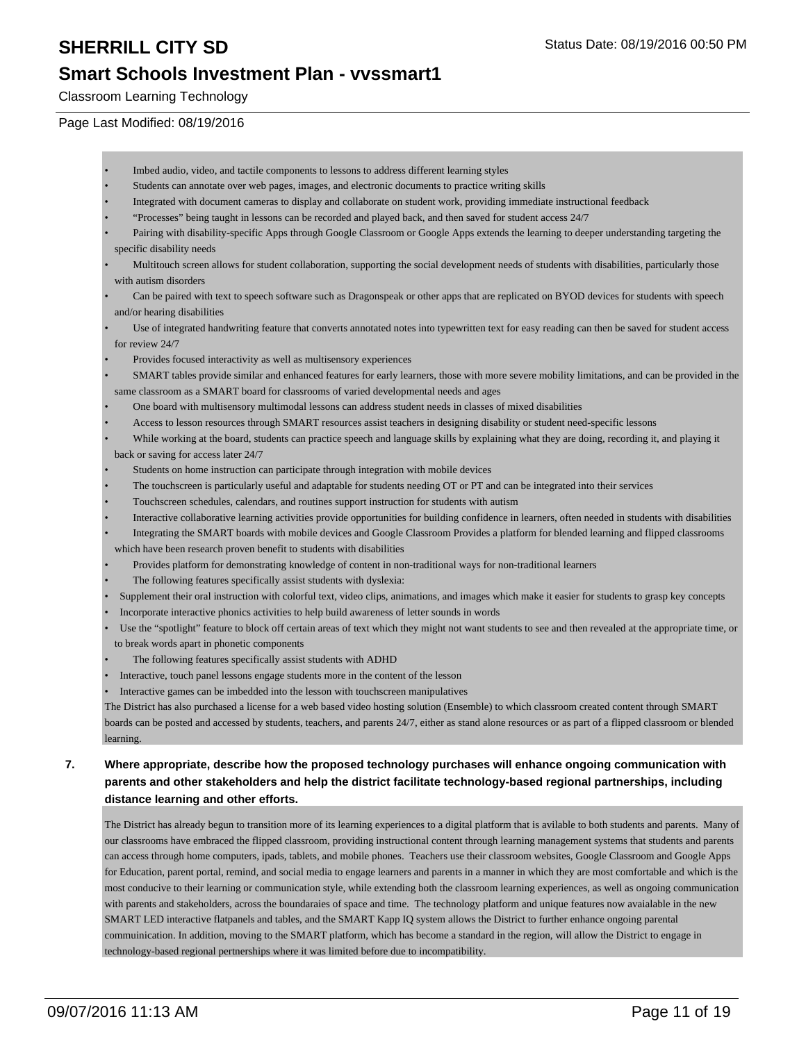Classroom Learning Technology

### Page Last Modified: 08/19/2016

- Imbed audio, video, and tactile components to lessons to address different learning styles
- Students can annotate over web pages, images, and electronic documents to practice writing skills
- Integrated with document cameras to display and collaborate on student work, providing immediate instructional feedback
- "Processes" being taught in lessons can be recorded and played back, and then saved for student access 24/7
- Pairing with disability-specific Apps through Google Classroom or Google Apps extends the learning to deeper understanding targeting the specific disability needs •
- Multitouch screen allows for student collaboration, supporting the social development needs of students with disabilities, particularly those with autism disorders •
- Can be paired with text to speech software such as Dragonspeak or other apps that are replicated on BYOD devices for students with speech and/or hearing disabilities •
- Use of integrated handwriting feature that converts annotated notes into typewritten text for easy reading can then be saved for student access for review 24/7 •
- Provides focused interactivity as well as multisensory experiences
- SMART tables provide similar and enhanced features for early learners, those with more severe mobility limitations, and can be provided in the same classroom as a SMART board for classrooms of varied developmental needs and ages •
- One board with multisensory multimodal lessons can address student needs in classes of mixed disabilities
- Access to lesson resources through SMART resources assist teachers in designing disability or student need-specific lessons
- While working at the board, students can practice speech and language skills by explaining what they are doing, recording it, and playing it back or saving for access later 24/7 •
- Students on home instruction can participate through integration with mobile devices
- The touchscreen is particularly useful and adaptable for students needing OT or PT and can be integrated into their services
- Touchscreen schedules, calendars, and routines support instruction for students with autism
- Interactive collaborative learning activities provide opportunities for building confidence in learners, often needed in students with disabilities
- Integrating the SMART boards with mobile devices and Google Classroom Provides a platform for blended learning and flipped classrooms which have been research proven benefit to students with disabilities •
- Provides platform for demonstrating knowledge of content in non-traditional ways for non-traditional learners
- The following features specifically assist students with dyslexia:
- Supplement their oral instruction with colorful text, video clips, animations, and images which make it easier for students to grasp key concepts
- Incorporate interactive phonics activities to help build awareness of letter sounds in words
- Use the "spotlight" feature to block off certain areas of text which they might not want students to see and then revealed at the appropriate time, or to break words apart in phonetic components •
- The following features specifically assist students with ADHD
- Interactive, touch panel lessons engage students more in the content of the lesson
- Interactive games can be imbedded into the lesson with touchscreen manipulatives

The District has also purchased a license for a web based video hosting solution (Ensemble) to which classroom created content through SMART boards can be posted and accessed by students, teachers, and parents 24/7, either as stand alone resources or as part of a flipped classroom or blended learning.

### **7. Where appropriate, describe how the proposed technology purchases will enhance ongoing communication with parents and other stakeholders and help the district facilitate technology-based regional partnerships, including distance learning and other efforts.**

The District has already begun to transition more of its learning experiences to a digital platform that is avilable to both students and parents. Many of our classrooms have embraced the flipped classroom, providing instructional content through learning management systems that students and parents can access through home computers, ipads, tablets, and mobile phones. Teachers use their classroom websites, Google Classroom and Google Apps for Education, parent portal, remind, and social media to engage learners and parents in a manner in which they are most comfortable and which is the most conducive to their learning or communication style, while extending both the classroom learning experiences, as well as ongoing communication with parents and stakeholders, across the boundaraies of space and time. The technology platform and unique features now avaialable in the new SMART LED interactive flatpanels and tables, and the SMART Kapp IQ system allows the District to further enhance ongoing parental commuinication. In addition, moving to the SMART platform, which has become a standard in the region, will allow the District to engage in technology-based regional pertnerships where it was limited before due to incompatibility.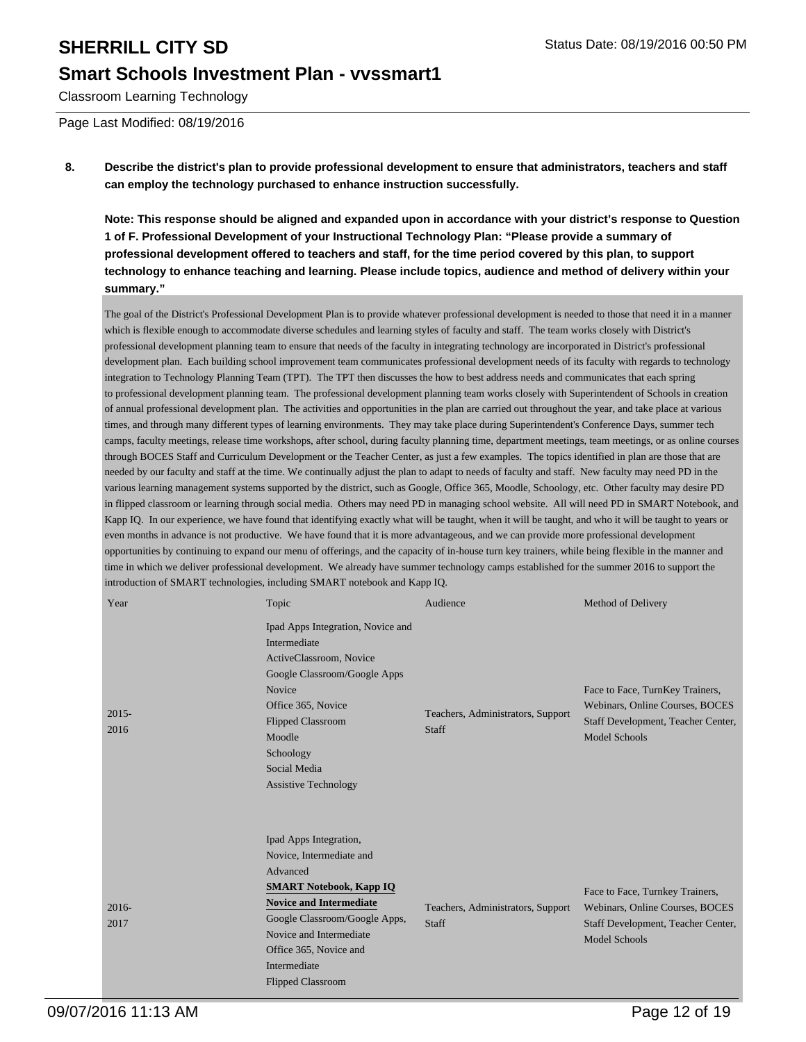## **Smart Schools Investment Plan - vvssmart1**

Classroom Learning Technology

Page Last Modified: 08/19/2016

### **8. Describe the district's plan to provide professional development to ensure that administrators, teachers and staff can employ the technology purchased to enhance instruction successfully.**

**Note: This response should be aligned and expanded upon in accordance with your district's response to Question 1 of F. Professional Development of your Instructional Technology Plan: "Please provide a summary of professional development offered to teachers and staff, for the time period covered by this plan, to support technology to enhance teaching and learning. Please include topics, audience and method of delivery within your summary."**

The goal of the District's Professional Development Plan is to provide whatever professional development is needed to those that need it in a manner which is flexible enough to accommodate diverse schedules and learning styles of faculty and staff. The team works closely with District's professional development planning team to ensure that needs of the faculty in integrating technology are incorporated in District's professional development plan. Each building school improvement team communicates professional development needs of its faculty with regards to technology integration to Technology Planning Team (TPT). The TPT then discusses the how to best address needs and communicates that each spring to professional development planning team. The professional development planning team works closely with Superintendent of Schools in creation of annual professional development plan. The activities and opportunities in the plan are carried out throughout the year, and take place at various times, and through many different types of learning environments. They may take place during Superintendent's Conference Days, summer tech camps, faculty meetings, release time workshops, after school, during faculty planning time, department meetings, team meetings, or as online courses through BOCES Staff and Curriculum Development or the Teacher Center, as just a few examples. The topics identified in plan are those that are needed by our faculty and staff at the time. We continually adjust the plan to adapt to needs of faculty and staff. New faculty may need PD in the various learning management systems supported by the district, such as Google, Office 365, Moodle, Schoology, etc. Other faculty may desire PD in flipped classroom or learning through social media. Others may need PD in managing school website. All will need PD in SMART Notebook, and Kapp IQ. In our experience, we have found that identifying exactly what will be taught, when it will be taught, and who it will be taught to years or even months in advance is not productive. We have found that it is more advantageous, and we can provide more professional development opportunities by continuing to expand our menu of offerings, and the capacity of in-house turn key trainers, while being flexible in the manner and time in which we deliver professional development. We already have summer technology camps established for the summer 2016 to support the introduction of SMART technologies, including SMART notebook and Kapp IQ.

| Year             | Topic                                                                                                                                                                                                                                                                | Audience                                          | Method of Delivery                                                                                                               |
|------------------|----------------------------------------------------------------------------------------------------------------------------------------------------------------------------------------------------------------------------------------------------------------------|---------------------------------------------------|----------------------------------------------------------------------------------------------------------------------------------|
| $2015 -$<br>2016 | Ipad Apps Integration, Novice and<br>Intermediate<br>ActiveClassroom, Novice<br>Google Classroom/Google Apps<br>Novice<br>Office 365, Novice<br><b>Flipped Classroom</b><br>Moodle<br>Schoology<br>Social Media<br><b>Assistive Technology</b>                       | Teachers, Administrators, Support<br><b>Staff</b> | Face to Face, TurnKey Trainers,<br>Webinars, Online Courses, BOCES<br>Staff Development, Teacher Center,<br><b>Model Schools</b> |
| $2016 -$<br>2017 | Ipad Apps Integration,<br>Novice, Intermediate and<br>Advanced<br><b>SMART Notebook, Kapp IQ</b><br><b>Novice and Intermediate</b><br>Google Classroom/Google Apps,<br>Novice and Intermediate<br>Office 365, Novice and<br>Intermediate<br><b>Flipped Classroom</b> | Teachers, Administrators, Support<br><b>Staff</b> | Face to Face, Turnkey Trainers,<br>Webinars, Online Courses, BOCES<br>Staff Development, Teacher Center,<br><b>Model Schools</b> |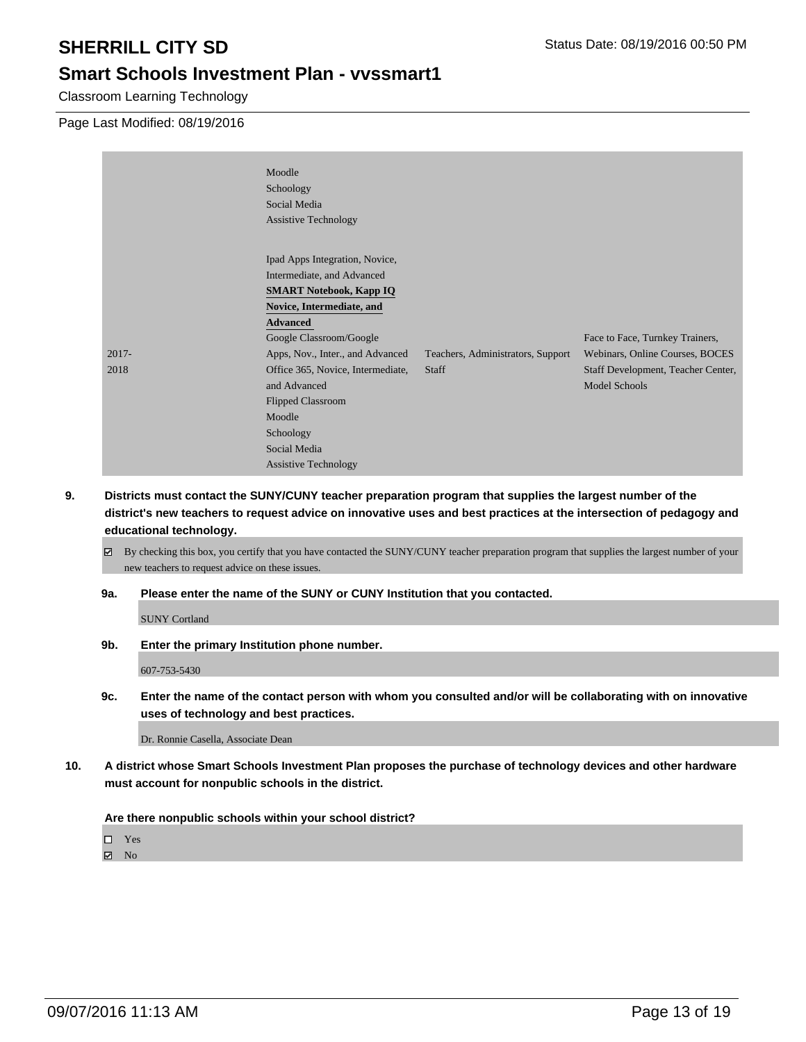Classroom Learning Technology

Page Last Modified: 08/19/2016

|          | Moodle<br>Schoology<br>Social Media<br><b>Assistive Technology</b>                                                                                                                                            |                                   |                                                                    |
|----------|---------------------------------------------------------------------------------------------------------------------------------------------------------------------------------------------------------------|-----------------------------------|--------------------------------------------------------------------|
| $2017 -$ | Ipad Apps Integration, Novice,<br>Intermediate, and Advanced<br><b>SMART Notebook, Kapp IQ</b><br>Novice, Intermediate, and<br><b>Advanced</b><br>Google Classroom/Google<br>Apps, Nov., Inter., and Advanced | Teachers, Administrators, Support | Face to Face, Turnkey Trainers,<br>Webinars, Online Courses, BOCES |
| 2018     | Office 365, Novice, Intermediate,<br>and Advanced<br><b>Flipped Classroom</b><br>Moodle<br>Schoology<br>Social Media<br><b>Assistive Technology</b>                                                           | <b>Staff</b>                      | Staff Development, Teacher Center,<br><b>Model Schools</b>         |

- **9. Districts must contact the SUNY/CUNY teacher preparation program that supplies the largest number of the district's new teachers to request advice on innovative uses and best practices at the intersection of pedagogy and educational technology.**
	- $\boxtimes$  By checking this box, you certify that you have contacted the SUNY/CUNY teacher preparation program that supplies the largest number of your new teachers to request advice on these issues.
	- **9a. Please enter the name of the SUNY or CUNY Institution that you contacted.**

SUNY Cortland

**9b. Enter the primary Institution phone number.**

607-753-5430

**9c. Enter the name of the contact person with whom you consulted and/or will be collaborating with on innovative uses of technology and best practices.**

Dr. Ronnie Casella, Associate Dean

**10. A district whose Smart Schools Investment Plan proposes the purchase of technology devices and other hardware must account for nonpublic schools in the district.**

**Are there nonpublic schools within your school district?**

Yes

**Ø** No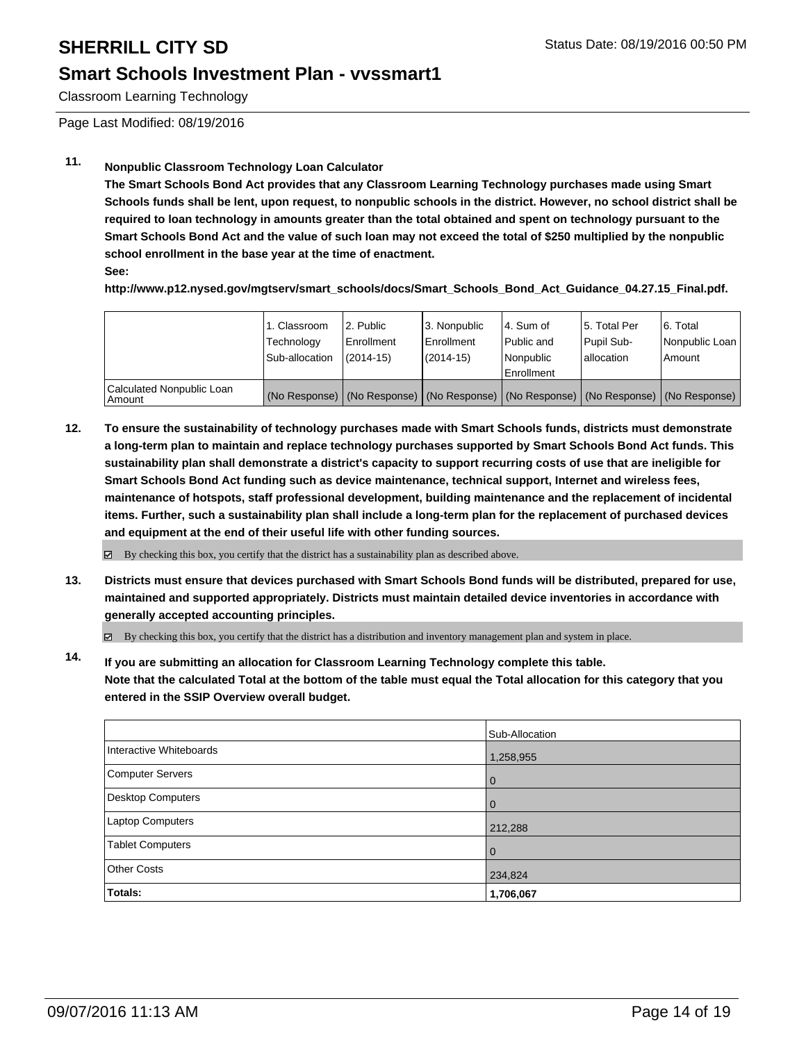## **Smart Schools Investment Plan - vvssmart1**

Classroom Learning Technology

Page Last Modified: 08/19/2016

## **11. Nonpublic Classroom Technology Loan Calculator**

**The Smart Schools Bond Act provides that any Classroom Learning Technology purchases made using Smart Schools funds shall be lent, upon request, to nonpublic schools in the district. However, no school district shall be required to loan technology in amounts greater than the total obtained and spent on technology pursuant to the Smart Schools Bond Act and the value of such loan may not exceed the total of \$250 multiplied by the nonpublic school enrollment in the base year at the time of enactment.**

**See:**

**http://www.p12.nysed.gov/mgtserv/smart\_schools/docs/Smart\_Schools\_Bond\_Act\_Guidance\_04.27.15\_Final.pdf.**

|                                     | 1. Classroom<br>Technology<br>Sub-allocation | 2. Public<br>Enrollment<br>$(2014 - 15)$ | 3. Nonpublic<br><b>Enrollment</b><br>(2014-15) | 4. Sum of<br>Public and<br>Nonpublic<br>Enrollment                                            | 15. Total Per<br>Pupil Sub-<br>Iallocation | 6. Total<br>Nonpublic Loan  <br>Amount |
|-------------------------------------|----------------------------------------------|------------------------------------------|------------------------------------------------|-----------------------------------------------------------------------------------------------|--------------------------------------------|----------------------------------------|
| Calculated Nonpublic Loan<br>Amount |                                              |                                          |                                                | (No Response)   (No Response)   (No Response)   (No Response)   (No Response)   (No Response) |                                            |                                        |

**12. To ensure the sustainability of technology purchases made with Smart Schools funds, districts must demonstrate a long-term plan to maintain and replace technology purchases supported by Smart Schools Bond Act funds. This sustainability plan shall demonstrate a district's capacity to support recurring costs of use that are ineligible for Smart Schools Bond Act funding such as device maintenance, technical support, Internet and wireless fees, maintenance of hotspots, staff professional development, building maintenance and the replacement of incidental items. Further, such a sustainability plan shall include a long-term plan for the replacement of purchased devices and equipment at the end of their useful life with other funding sources.**

 $\boxtimes$  By checking this box, you certify that the district has a sustainability plan as described above.

**13. Districts must ensure that devices purchased with Smart Schools Bond funds will be distributed, prepared for use, maintained and supported appropriately. Districts must maintain detailed device inventories in accordance with generally accepted accounting principles.**

By checking this box, you certify that the district has a distribution and inventory management plan and system in place.

**14. If you are submitting an allocation for Classroom Learning Technology complete this table. Note that the calculated Total at the bottom of the table must equal the Total allocation for this category that you entered in the SSIP Overview overall budget.**

|                          | Sub-Allocation |
|--------------------------|----------------|
| Interactive Whiteboards  | 1,258,955      |
| <b>Computer Servers</b>  | 0              |
| <b>Desktop Computers</b> | 0              |
| Laptop Computers         | 212,288        |
| <b>Tablet Computers</b>  | $\Omega$       |
| <b>Other Costs</b>       | 234,824        |
| Totals:                  | 1,706,067      |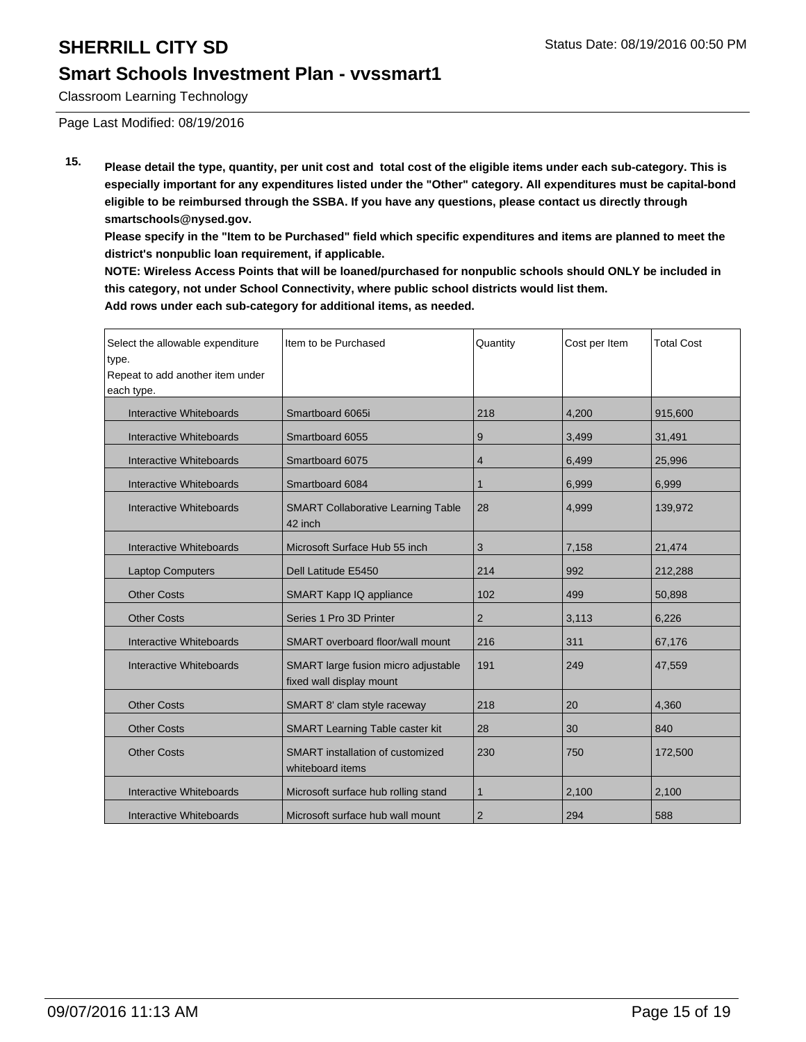Classroom Learning Technology

Page Last Modified: 08/19/2016

**15. Please detail the type, quantity, per unit cost and total cost of the eligible items under each sub-category. This is especially important for any expenditures listed under the "Other" category. All expenditures must be capital-bond eligible to be reimbursed through the SSBA. If you have any questions, please contact us directly through smartschools@nysed.gov.**

**Please specify in the "Item to be Purchased" field which specific expenditures and items are planned to meet the district's nonpublic loan requirement, if applicable.**

**NOTE: Wireless Access Points that will be loaned/purchased for nonpublic schools should ONLY be included in this category, not under School Connectivity, where public school districts would list them. Add rows under each sub-category for additional items, as needed.**

| Select the allowable expenditure<br>type.<br>Repeat to add another item under | Item to be Purchased                                            | Quantity       | Cost per Item | <b>Total Cost</b> |
|-------------------------------------------------------------------------------|-----------------------------------------------------------------|----------------|---------------|-------------------|
| each type.                                                                    |                                                                 |                |               |                   |
| Interactive Whiteboards                                                       | Smartboard 6065i                                                | 218            | 4,200         | 915,600           |
| Interactive Whiteboards                                                       | Smartboard 6055                                                 | 9              | 3,499         | 31,491            |
| Interactive Whiteboards                                                       | Smartboard 6075                                                 | 4              | 6,499         | 25,996            |
| <b>Interactive Whiteboards</b>                                                | Smartboard 6084                                                 | 1              | 6,999         | 6,999             |
| Interactive Whiteboards                                                       | <b>SMART Collaborative Learning Table</b><br>42 inch            | 28             | 4,999         | 139,972           |
| Interactive Whiteboards                                                       | Microsoft Surface Hub 55 inch                                   | 3              | 7,158         | 21,474            |
| <b>Laptop Computers</b>                                                       | Dell Latitude E5450                                             | 214            | 992           | 212,288           |
| <b>Other Costs</b>                                                            | SMART Kapp IQ appliance                                         | 102            | 499           | 50,898            |
| <b>Other Costs</b>                                                            | Series 1 Pro 3D Printer                                         | $\overline{2}$ | 3,113         | 6,226             |
| Interactive Whiteboards                                                       | SMART overboard floor/wall mount                                | 216            | 311           | 67,176            |
| Interactive Whiteboards                                                       | SMART large fusion micro adjustable<br>fixed wall display mount | 191            | 249           | 47,559            |
| <b>Other Costs</b>                                                            | SMART 8' clam style raceway                                     | 218            | 20            | 4,360             |
| <b>Other Costs</b>                                                            | <b>SMART Learning Table caster kit</b>                          | 28             | 30            | 840               |
| <b>Other Costs</b>                                                            | SMART installation of customized<br>whiteboard items            | 230            | 750           | 172,500           |
| Interactive Whiteboards                                                       | Microsoft surface hub rolling stand                             | $\mathbf{1}$   | 2,100         | 2,100             |
| Interactive Whiteboards                                                       | Microsoft surface hub wall mount                                | $\overline{2}$ | 294           | 588               |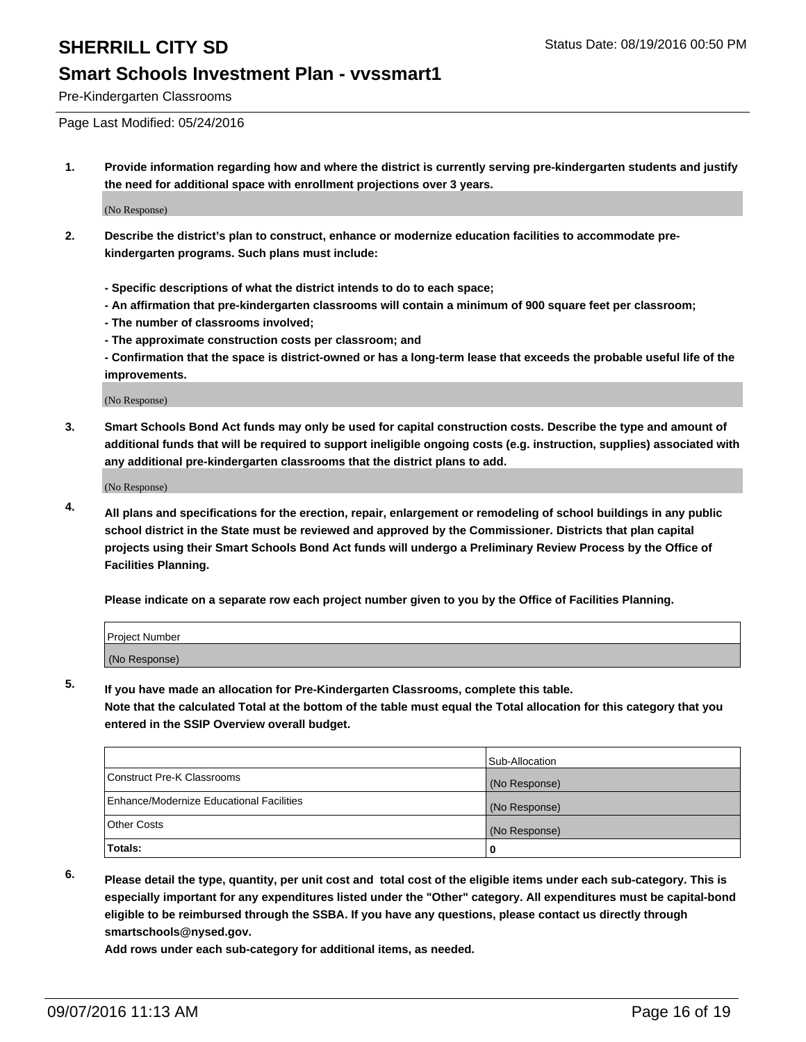Pre-Kindergarten Classrooms

Page Last Modified: 05/24/2016

**1. Provide information regarding how and where the district is currently serving pre-kindergarten students and justify the need for additional space with enrollment projections over 3 years.**

(No Response)

- **2. Describe the district's plan to construct, enhance or modernize education facilities to accommodate prekindergarten programs. Such plans must include:**
	- **Specific descriptions of what the district intends to do to each space;**
	- **An affirmation that pre-kindergarten classrooms will contain a minimum of 900 square feet per classroom;**
	- **The number of classrooms involved;**
	- **The approximate construction costs per classroom; and**
	- **Confirmation that the space is district-owned or has a long-term lease that exceeds the probable useful life of the improvements.**

(No Response)

**3. Smart Schools Bond Act funds may only be used for capital construction costs. Describe the type and amount of additional funds that will be required to support ineligible ongoing costs (e.g. instruction, supplies) associated with any additional pre-kindergarten classrooms that the district plans to add.**

(No Response)

**4. All plans and specifications for the erection, repair, enlargement or remodeling of school buildings in any public school district in the State must be reviewed and approved by the Commissioner. Districts that plan capital projects using their Smart Schools Bond Act funds will undergo a Preliminary Review Process by the Office of Facilities Planning.**

**Please indicate on a separate row each project number given to you by the Office of Facilities Planning.**

| Project Number |  |  |
|----------------|--|--|
| (No Response)  |  |  |

**5. If you have made an allocation for Pre-Kindergarten Classrooms, complete this table.**

**Note that the calculated Total at the bottom of the table must equal the Total allocation for this category that you entered in the SSIP Overview overall budget.**

|                                          | Sub-Allocation |
|------------------------------------------|----------------|
| Construct Pre-K Classrooms               | (No Response)  |
| Enhance/Modernize Educational Facilities | (No Response)  |
| Other Costs                              | (No Response)  |
| <b>Totals:</b>                           |                |

**6. Please detail the type, quantity, per unit cost and total cost of the eligible items under each sub-category. This is especially important for any expenditures listed under the "Other" category. All expenditures must be capital-bond eligible to be reimbursed through the SSBA. If you have any questions, please contact us directly through smartschools@nysed.gov.**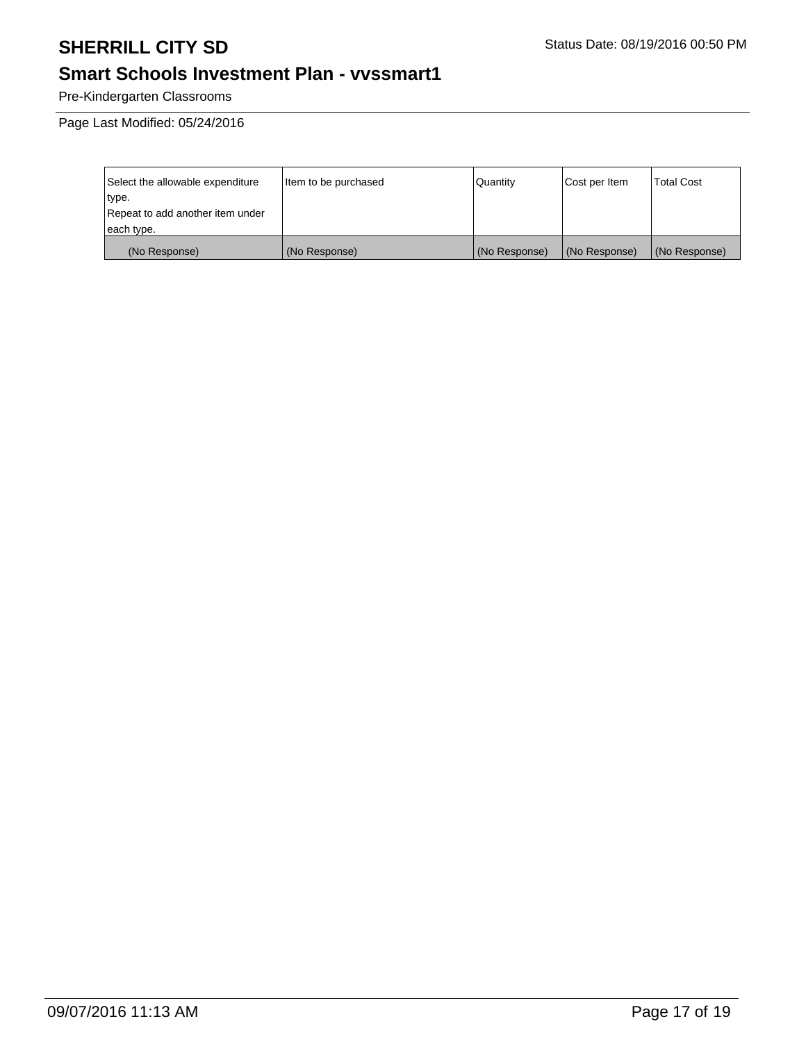## **Smart Schools Investment Plan - vvssmart1**

Pre-Kindergarten Classrooms

Page Last Modified: 05/24/2016

| Select the allowable expenditure | Item to be purchased | Quantity      | Cost per Item | <b>Total Cost</b> |
|----------------------------------|----------------------|---------------|---------------|-------------------|
| type.                            |                      |               |               |                   |
| Repeat to add another item under |                      |               |               |                   |
| each type.                       |                      |               |               |                   |
| (No Response)                    | (No Response)        | (No Response) | (No Response) | (No Response)     |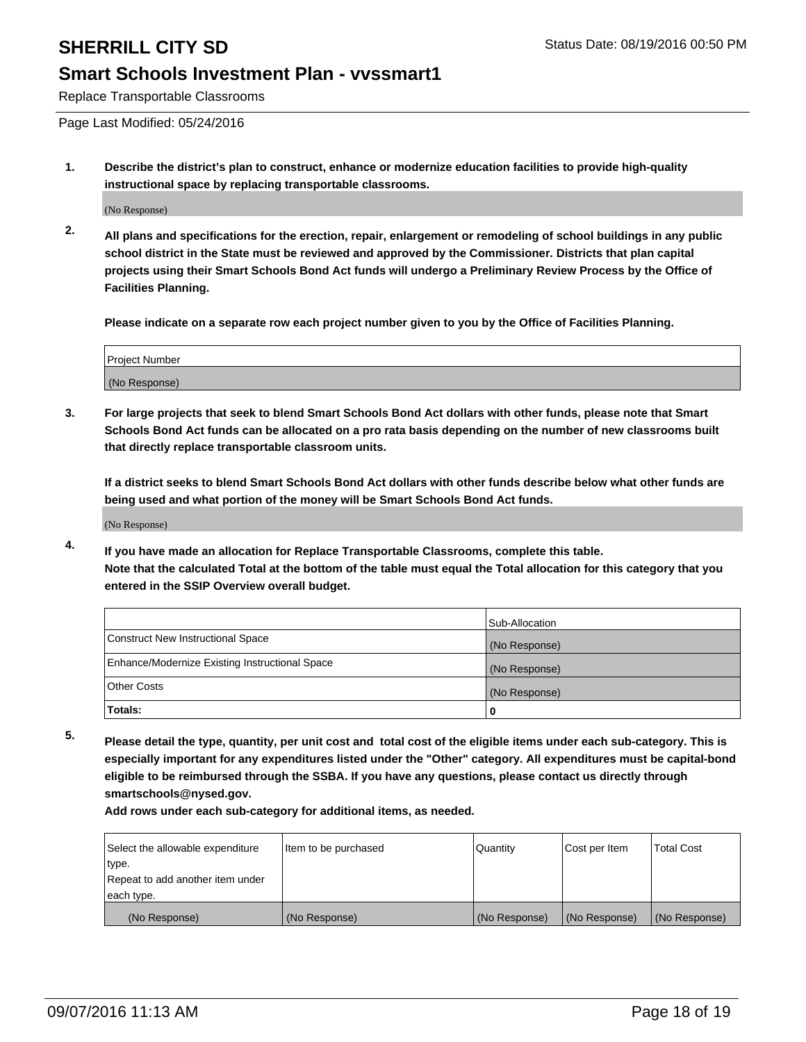Replace Transportable Classrooms

Page Last Modified: 05/24/2016

**1. Describe the district's plan to construct, enhance or modernize education facilities to provide high-quality instructional space by replacing transportable classrooms.**

(No Response)

**2. All plans and specifications for the erection, repair, enlargement or remodeling of school buildings in any public school district in the State must be reviewed and approved by the Commissioner. Districts that plan capital projects using their Smart Schools Bond Act funds will undergo a Preliminary Review Process by the Office of Facilities Planning.**

**Please indicate on a separate row each project number given to you by the Office of Facilities Planning.**

| Project Number |  |
|----------------|--|
| (No Response)  |  |

**3. For large projects that seek to blend Smart Schools Bond Act dollars with other funds, please note that Smart Schools Bond Act funds can be allocated on a pro rata basis depending on the number of new classrooms built that directly replace transportable classroom units.**

**If a district seeks to blend Smart Schools Bond Act dollars with other funds describe below what other funds are being used and what portion of the money will be Smart Schools Bond Act funds.**

(No Response)

**4. If you have made an allocation for Replace Transportable Classrooms, complete this table. Note that the calculated Total at the bottom of the table must equal the Total allocation for this category that you entered in the SSIP Overview overall budget.**

|                                                | Sub-Allocation |
|------------------------------------------------|----------------|
| Construct New Instructional Space              | (No Response)  |
| Enhance/Modernize Existing Instructional Space | (No Response)  |
| Other Costs                                    | (No Response)  |
| Totals:                                        | 0              |

**5. Please detail the type, quantity, per unit cost and total cost of the eligible items under each sub-category. This is especially important for any expenditures listed under the "Other" category. All expenditures must be capital-bond eligible to be reimbursed through the SSBA. If you have any questions, please contact us directly through smartschools@nysed.gov.**

| Select the allowable expenditure | Item to be purchased | Quantity      | Cost per Item | Total Cost    |
|----------------------------------|----------------------|---------------|---------------|---------------|
| type.                            |                      |               |               |               |
| Repeat to add another item under |                      |               |               |               |
| each type.                       |                      |               |               |               |
| (No Response)                    | (No Response)        | (No Response) | (No Response) | (No Response) |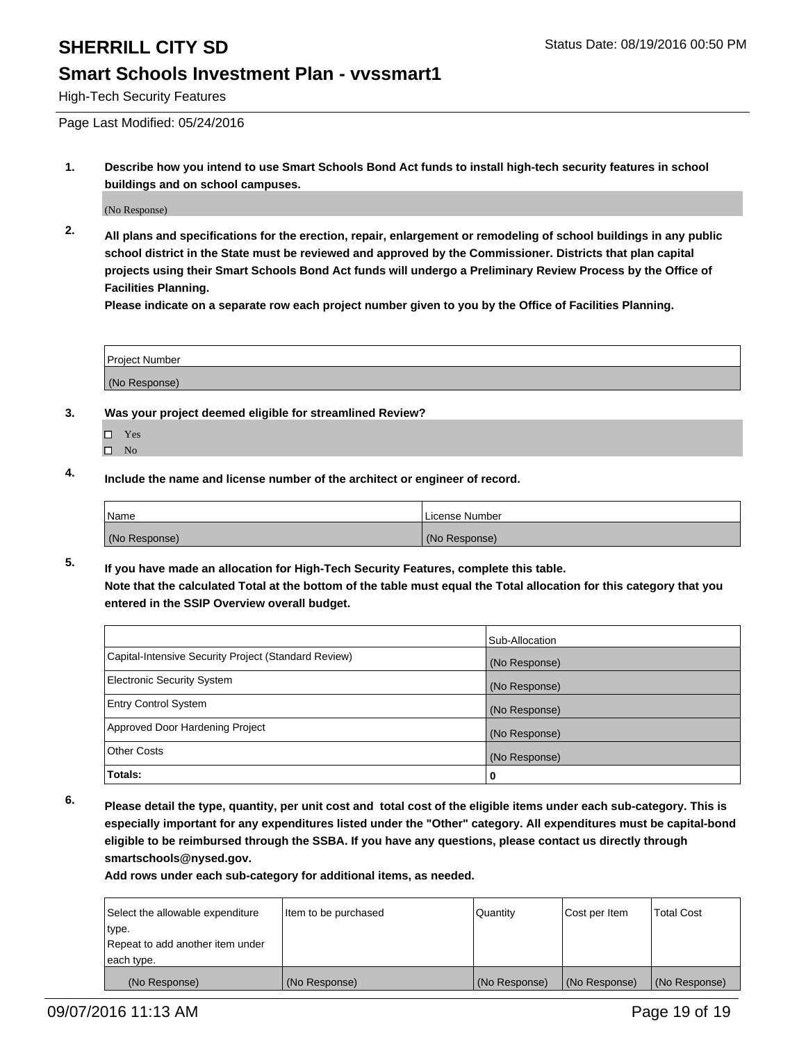## **Smart Schools Investment Plan - vvssmart1**

High-Tech Security Features

Page Last Modified: 05/24/2016

**1. Describe how you intend to use Smart Schools Bond Act funds to install high-tech security features in school buildings and on school campuses.**

(No Response)

**2. All plans and specifications for the erection, repair, enlargement or remodeling of school buildings in any public school district in the State must be reviewed and approved by the Commissioner. Districts that plan capital projects using their Smart Schools Bond Act funds will undergo a Preliminary Review Process by the Office of Facilities Planning.** 

**Please indicate on a separate row each project number given to you by the Office of Facilities Planning.**

| <b>Project Number</b> |  |
|-----------------------|--|
| (No Response)         |  |

- **3. Was your project deemed eligible for streamlined Review?**
	- □ Yes
	- $\square$  No
- **4. Include the name and license number of the architect or engineer of record.**

| <b>Name</b>   | License Number |
|---------------|----------------|
| (No Response) | (No Response)  |

**5. If you have made an allocation for High-Tech Security Features, complete this table. Note that the calculated Total at the bottom of the table must equal the Total allocation for this category that you entered in the SSIP Overview overall budget.**

|                                                      | Sub-Allocation |
|------------------------------------------------------|----------------|
| Capital-Intensive Security Project (Standard Review) | (No Response)  |
| <b>Electronic Security System</b>                    | (No Response)  |
| <b>Entry Control System</b>                          | (No Response)  |
| Approved Door Hardening Project                      | (No Response)  |
| <b>Other Costs</b>                                   | (No Response)  |
| Totals:                                              | 0              |

**6. Please detail the type, quantity, per unit cost and total cost of the eligible items under each sub-category. This is especially important for any expenditures listed under the "Other" category. All expenditures must be capital-bond eligible to be reimbursed through the SSBA. If you have any questions, please contact us directly through smartschools@nysed.gov.**

| Select the allowable expenditure | Item to be purchased | Quantity      | Cost per Item | <b>Total Cost</b> |
|----------------------------------|----------------------|---------------|---------------|-------------------|
| type.                            |                      |               |               |                   |
| Repeat to add another item under |                      |               |               |                   |
| each type.                       |                      |               |               |                   |
| (No Response)                    | (No Response)        | (No Response) | (No Response) | (No Response)     |